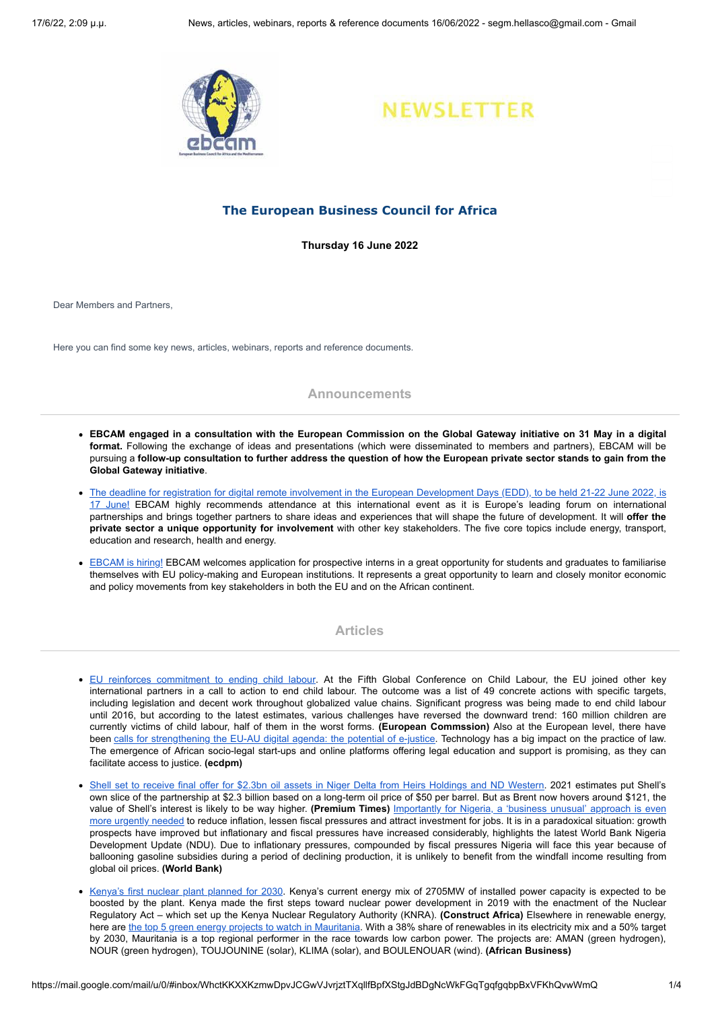



# **The European Business Council for Africa**

**Thursday 16 June 2022**

Dear Members and Partners,

Here you can find some key news, articles, webinars, reports and reference documents.

### **Announcements**

- EBCAM engaged in a consultation with the European Commission on the Global Gateway initiative on 31 May in a digital **format.** Following the exchange of ideas and presentations (which were disseminated to members and partners), EBCAM will be pursuing a follow-up consultation to further address the question of how the European private sector stands to gain from the **Global Gateway initiative**.
- The deadline for registration for digital remote involvement in the European [Development](https://eudevdays.eu/community/login) Days (EDD), to be held 21-22 June 2022, is 17 June! EBCAM highly recommends attendance at this international event as it is Europe's leading forum on international partnerships and brings together partners to share ideas and experiences that will shape the future of development. It will **offer the private sector a unique opportunity for involvement** with other key stakeholders. The five core topics include energy, transport, education and research, health and energy.
- [EBCAM](https://www.ebcam.eu/about-ebcam/working-with-us) is hiring! EBCAM welcomes application for prospective interns in a great opportunity for students and graduates to familiarise themselves with EU policy-making and European institutions. It represents a great opportunity to learn and closely monitor economic and policy movements from key stakeholders in both the EU and on the African continent.

## **Articles**

- EU reinforces [commitment](https://www.ebcam.eu/news/brussels/2971-eu-reinforces-commitment-to-ending-child-labour) to ending child labour. At the Fifth Global Conference on Child Labour, the EU joined other key international partners in a call to action to end child labour. The outcome was a list of 49 concrete actions with specific targets, including legislation and decent work throughout globalized value chains. Significant progress was being made to end child labour until 2016, but according to the latest estimates, various challenges have reversed the downward trend: 160 million children are currently victims of child labour, half of them in the worst forms. **(European Commssion)** Also at the European level, there have been calls for [strengthening](https://ecdpm.org/talking-points/strengthening-eu-au-digital-agenda-potential-e-justice/) the EU-AU digital agenda: the potential of e-justice. Technology has a big impact on the practice of law. The emergence of African socio-legal start-ups and online platforms offering legal education and support is promising, as they can facilitate access to justice. **(ecdpm)**
- · Shell set to receive final offer for \$2.3bn oil assets in Niger Delta from Heirs [Holdings](https://www.premiumtimesng.com/news/top-news/535779-shell-set-to-receive-final-offers-for-2-3-billion-oil-assets-from-heirs-holdings-nd-western.html) and ND Western. 2021 estimates put Shell's own slice of the partnership at \$2.3 billion based on a long-term oil price of \$50 per barrel. But as Brent now hovers around \$121, the value of Shell's interest is likely to be way higher. **(Premium Times)** Importantly for Nigeria, a 'business unusual' approach is even more urgently needed to reduce inflation, lessen fiscal pressures and attract investment for jobs. It is in a [paradoxical](https://www.worldbank.org/en/news/press-release/2022/06/14/a-business-unusual-approach-even-more-urgently-needed-to-reduce-inflation-lessen-fiscal-pressures-and-attract-investment) situation: growth prospects have improved but inflationary and fiscal pressures have increased considerably, highlights the latest World Bank Nigeria Development Update (NDU). Due to inflationary pressures, compounded by fiscal pressures Nigeria will face this year because of ballooning gasoline subsidies during a period of declining production, it is unlikely to benefit from the windfall income resulting from global oil prices. **(World Bank)**
- Kenya's first nuclear plant [planned](https://www.constructafrica.com/news/kenyas-first-nuclear-plant-planned-2030-0) for 2030. Kenya's current energy mix of 2705MW of installed power capacity is expected to be boosted by the plant. Kenya made the first steps toward nuclear power development in 2019 with the enactment of the Nuclear Regulatory Act – which set up the Kenya Nuclear Regulatory Authority (KNRA). **(Construct Africa)** Elsewhere in renewable energy, here are the top 5 green energy projects to watch in [Mauritania](https://african.business/2022/06/apo-newsfeed/top-5-green-energy-projects-to-watch-in-mauritania/). With a 38% share of renewables in its electricity mix and a 50% target by 2030, Mauritania is a top regional performer in the race towards low carbon power. The projects are: AMAN (green hydrogen), NOUR (green hydrogen), TOUJOUNINE (solar), KLIMA (solar), and BOULENOUAR (wind). **(African Business)**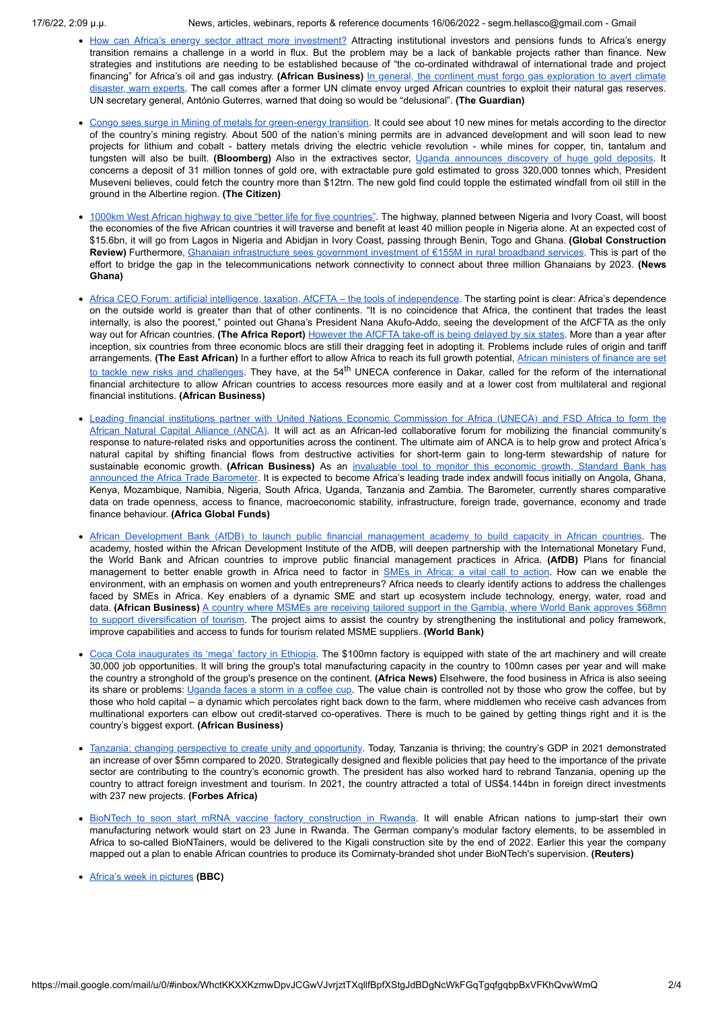17/6/22, 2:09 μ.μ. News, articles, webinars, reports & reference documents 16/06/2022 - segm.hellasco@gmail.com - Gmail

- How can Africa's energy sector attract more [investment?](https://african.business/2022/06/energy-resources/how-can-africas-energy-sector-attract-more-investment/) Attracting institutional investors and pensions funds to Africa's energy transition remains a challenge in a world in flux. But the problem may be a lack of bankable projects rather than finance. New strategies and institutions are needing to be established because of "the co-ordinated withdrawal of international trade and project financing" for Africa's oil and gas industry. **(African Business)** In general, the continent must forgo gas [exploration](https://www.theguardian.com/environment/2022/jun/14/africa-gas-exploration-climate-disaster-un-reserves) to avert climate disaster, warn experts. The call comes after a former UN climate envoy urged African countries to exploit their natural gas reserves. UN secretary general, António Guterres, warned that doing so would be "delusional". **(The Guardian)**
- Congo sees surge in Mining of metals for [green-energy](https://www.bloomberg.com/news/articles/2022-06-02/congo-sees-surge-in-mining-of-metals-for-green-energy-transition#xj4y7vzkg) transition. It could see about 10 new mines for metals according to the director of the country's mining registry. About 500 of the nation's mining permits are in advanced development and will soon lead to new projects for lithium and cobalt - battery metals driving the electric vehicle revolution - while mines for copper, tin, tantalum and tungsten will also be built. **(Bloomberg)** Also in the extractives sector, Uganda [announces](https://www.thecitizen.co.tz/tanzania/news/east-africa-news/uganda-announces-discovery-of-huge-gold-deposits-3842400) discovery of huge gold deposits. It concerns a deposit of 31 million tonnes of gold ore, with extractable pure gold estimated to gross 320,000 tonnes which, President Museveni believes, could fetch the country more than \$12trn. The new gold find could topple the estimated windfall from oil still in the ground in the Albertine region. **(The Citizen)**
- 1000km West African highway to give "better life for five [countries"](https://www.globalconstructionreview.com/1000km-west-african-highway-to-give-better-life-for-five-countries/). The highway, planned between Nigeria and Ivory Coast, will boost the economies of the five African countries it will traverse and benefit at least 40 million people in Nigeria alone. At an expected cost of \$15.6bn, it will go from Lagos in Nigeria and Abidjan in Ivory Coast, passing through Benin, Togo and Ghana. **(Global Construction Review)** Furthermore, Ghanaian [infrastructure](https://newsghana.com.gh/ghana-govt-invests-e155m-in-rural-broadband-services/) sees government investment of €155M in rural broadband services. This is part of the effort to bridge the gap in the telecommunications network connectivity to connect about three million Ghanaians by 2023. **(News Ghana)**
- Africa CEO Forum: artificial intelligence, taxation, AfCFTA the tools of [independence.](https://www.theafricareport.com/213558/africa-ceo-forum-artificial-intelligence-taxation-afcfta-the-tools-of-independence/) The starting point is clear: Africa's dependence on the outside world is greater than that of other continents. "It is no coincidence that Africa, the continent that trades the least internally, is also the poorest," pointed out Ghana's President Nana Akufo-Addo, seeing the development of the AfCFTA as the only way out for African countries. **(The Africa Report)** [However](https://www.theeastafrican.co.ke/tea/business/africa-free-trade-area-takeoff-delayed-by-six-states-3844962) the AfCFTA take-off is being delayed by six states. More than a year after inception, six countries from three economic blocs are still their dragging feet in adopting it. Problems include rules of origin and tariff [arrangements.](https://african.business/2022/06/economy/african-ministers-of-finance-set-to-tackle-new-risks-challenges) **(The East African)** In a further effort to allow Africa to reach its full growth potential, African ministers of finance are set <u>to tackle new risks and challenges</u>. They have, at the 54<sup>th</sup> UNECA conference in Dakar, called for the reform of the international financial architecture to allow African countries to access resources more easily and at a lower cost from multilateral and regional financial institutions. **(African Business)**
- Leading financial institutions partner with United Nations Economic Commission for Africa (UNECA) and FSD Africa to form the African Natural Capital Alliance (ANCA). It will act as an African-led [collaborative](https://african.business/2022/06/apo-newsfeed/leading-financial-institutions-partner-with-united-nations-economic-commission-for-africa-uneca-and-fsd-africa-to-form-the-african-natural-capital-alliance-anca/) forum for mobilizing the financial community's response to nature-related risks and opportunities across the continent. The ultimate aim of ANCA is to help grow and protect Africa's natural capital by shifting financial flows from destructive activities for short-term gain to long-term stewardship of nature for [sustainable](https://www.africaglobalfunds.com/news/asset-servicing/standard-bank-announces-africa-trade-barometer/) economic growth. **(African Business)** As an invaluable tool to monitor this economic growth, Standard Bank has announced the Africa Trade Barometer. It is expected to become Africa's leading trade index andwill focus initially on Angola, Ghana, Kenya, Mozambique, Namibia, Nigeria, South Africa, Uganda, Tanzania and Zambia. The Barometer, currently shares comparative data on trade openness, access to finance, macroeconomic stability, infrastructure, foreign trade, governance, economy and trade finance behaviour. **(Africa Global Funds)**
- African [Development](https://www.ebcam.eu/news/africa/2972-african-development-bank-to-launch-public-financial-management-academy-to-build-capacity-in-african-countries) Bank (AfDB) to launch public financial management academy to build capacity in African countries. The academy, hosted within the African Development Institute of the AfDB, will deepen partnership with the International Monetary Fund, the World Bank and African countries to improve public financial management practices in Africa. **(AfDB)** Plans for financial management to better enable growth in Africa need to factor in SMEs in [Africa:](https://african.business/2022/06/economy/smes-in-africa-call-to-action/) a vital call to action. How can we enable the environment, with an emphasis on women and youth entrepreneurs? Africa needs to clearly identify actions to address the challenges faced by SMEs in Africa. Key enablers of a dynamic SME and start up ecosystem include technology, energy, water, road and data. **(African Business)** A country where MSMEs are receiving tailored support in the Gambia, where World Bank approves \$68mn to support diversification of tourism. The project aims to assist the country by [strengthening](https://www.worldbank.org/en/news/press-release/2022/06/13/afw-world-bank-approves-68-million-to-support-diversification-of-tourism-in-the-gambia) the institutional and policy framework, improve capabilities and access to funds for tourism related MSME suppliers. **(World Bank)**
- Coca Cola [inaugurates](https://www.africanews.com/2022/06/03/coca-cola-inaugurates-its-mega-factory-in-ethiopia/) its 'mega' factory in Ethiopia. The \$100mn factory is equipped with state of the art machinery and will create 30,000 job opportunities. It will bring the group's total manufacturing capacity in the country to 100mn cases per year and will make the country a stronghold of the group's presence on the continent. **(Africa News)** Elsehwere, the food business in Africa is also seeing its share or problems: [Uganda](https://african.business/2022/06/agribusiness-manufacturing/uganda-faces-storm-in-a-coffee-cup/) faces a storm in a coffee cup. The value chain is controlled not by those who grow the coffee, but by those who hold capital – a dynamic which percolates right back down to the farm, where middlemen who receive cash advances from multinational exporters can elbow out credit-starved co-operatives. There is much to be gained by getting things right and it is the country's biggest export. **(African Business)**
- Tanzania: changing [perspective](https://www.forbesafrica.com/africa-undiscovered/2022/06/01/tanzania-changing-perspective-to-create-unity-and-opportunity/) to create unity and opportunity. Today, Tanzania is thriving; the country's GDP in 2021 demonstrated an increase of over \$5mn compared to 2020. Strategically designed and flexible policies that pay heed to the importance of the private sector are contributing to the country's economic growth. The president has also worked hard to rebrand Tanzania, opening up the country to attract foreign investment and tourism. In 2021, the country attracted a total of US\$4.144bn in foreign direct investments with 237 new projects. **(Forbes Africa)**
- BioNTech to soon start mRNA vaccine factory [construction](https://www.reuters.com/business/healthcare-pharmaceuticals/biontech-soon-start-mrna-vaccine-factory-construction-rwanda-2022-06-09/) in Rwanda. It will enable African nations to jump-start their own manufacturing network would start on 23 June in Rwanda. The German company's modular factory elements, to be assembled in Africa to so-called BioNTainers, would be delivered to the Kigali construction site by the end of 2022. Earlier this year the company mapped out a plan to enable African countries to produce its Comirnaty-branded shot under BioNTech's supervision. **(Reuters)**
- Africa's week in [pictures](https://www.bbc.com/news/world-africa-61745017) **(BBC)**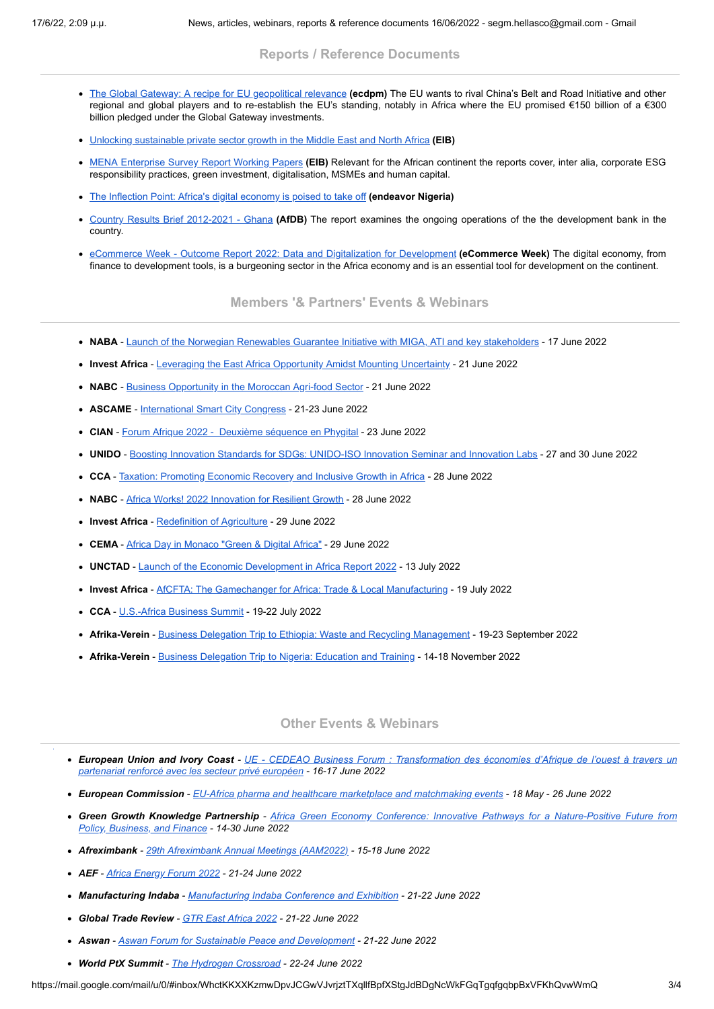### **Reports / Reference Documents**

- The Global Gateway: A recipe for EU [geopolitical](https://www.ebcam.eu/publications/reference-reports-and-documents/2996-the-global-gateway-a-recipe-for-eu-geopolitical-relevance) relevance **(ecdpm)** The EU wants to rival China's Belt and Road Initiative and other regional and global players and to re-establish the EU's standing, notably in Africa where the EU promised €150 billion of a €300 billion pledged under the Global Gateway investments.
- Unlocking [sustainable](https://www.ebcam.eu/publications/reference-reports-and-documents/2990-unlocking-sustainable-private-sector-growth-in-the-middle-east-and-north-africa) private sector growth in the Middle East and North Africa **(EIB)**
- MENA [Enterprise](https://www.ebcam.eu/publications/reference-reports-and-documents/2992-mena-enterprise-survey-report-working-papers) Survey Report Working Papers **(EIB)** Relevant for the African continent the reports cover, inter alia, corporate ESG responsibility practices, green investment, digitalisation, MSMEs and human capital.
- The Inflection Point: Africa's digital [economy](https://www.ebcam.eu/publications/reference-reports-and-documents/2989-the-inflection-point-africa-s-digital-economy-is-poised-to-take-off) is poised to take off **(endeavor Nigeria)**
- Country Results Brief [2012-2021](https://www.ebcam.eu/publications/reference-reports-and-documents/2988-country-results-brief-2012-2021-ghana) Ghana **(AfDB)** The report examines the ongoing operations of the the development bank in the country.
- eCommerce Week Outcome Report 2022: Data and Digitalization for [Development](https://www.ebcam.eu/publications/reference-reports-and-documents/2997-ecommerce-week-outcome-report-2022-data-and-digitalization-for-development) **(eCommerce Week)** The digital economy, from finance to development tools, is a burgeoning sector in the Africa economy and is an essential tool for development on the continent.

**Members '& Partners' Events & Webinars**

- **NABA** Launch of the Norwegian Renewables Guarantee Initiative with MIGA, ATI and key [stakeholders](https://www.ebcam.eu/events/members-events/2920-launch-of-the-norwegian-renewables-guarantee-initiative-with-miga-ati-and-key-stakeholders) 17 June 2022
- **Invest Africa** Leveraging the East Africa [Opportunity](https://www.ebcam.eu/events/members-events/2999-leveraging-the-east-african-opportunity-amidst-mounting-uncertainty) Amidst Mounting Uncertainty 21 June 2022
- NABC Business [Opportunity](https://www.ebcam.eu/events/members-events/2970-business-opportunity-in-the-moroccan-agri-food-sector) in the Moroccan Agri-food Sector 21 June 2022
- **ASCAME** [International](https://www.ebcam.eu/events/members-events/2925-international-smart-city-congress) Smart City Congress 21-23 June 2022
- **CIAN** Forum [Afrique](https://www.ebcam.eu/events/members-events/2833-forum-afrique-2022-deuxieme-sequence-en-phygital) 2022 Deuxième [séquence](https://www.ebcam.eu/events/members-events/2833-forum-afrique-2022-deuxieme-sequence-en-phygital) en Phygital 23 June 2022
- **UNIDO** Boosting Innovation Standards for SDGs: [UNIDO-ISO](https://www.ebcam.eu/events/members-events/2929-boosting-innovation-standards-for-sdgs-unido-iso-innovation-seminar-and-innovation-labs) Innovation Seminar and Innovation Labs 27 and 30 June 2022
- **CCA** Taxation: [Promoting](https://www.ebcam.eu/events/members-events/2998-taxation-promoting-economic-recovery-and-inclusive-growth-in-africa) Economic Recovery and Inclusive Growth in Africa 28 June 2022
- NABC Africa Works! 2022 [Innovation](https://www.ebcam.eu/events/members-events/2829-africa-works-2022-innovation-for-resilient-growth) for Resilient Growth 28 June 2022
- **Invest Africa** [Redefinition](https://www.ebcam.eu/events/members-events/2918-redefinition-of-agriculture) of Agriculture 29 June 2022
- **CEMA** Africa Day in [Monaco](https://www.ebcam.eu/events/members-events/2949-africa-day-in-monaco-green-digital-africa-29-june-2022-monaco-club-des-entrepreneurs-monegasques-en-afrique) "Green & Digital Africa" 29 June 2022
- **UNCTAD** Launch of the Economic [Development](https://www.ebcam.eu/events/members-events/2903-launch-of-the-economic-development-in-africa-report-2022) in Africa Report 2022 13 July 2022
- **Invest Africa** AfCFTA: The [Gamechanger](https://www.ebcam.eu/events/members-events/3000-afcfta-the-gamechanger-for-africa-trade-local-manufacturing) for Africa: Trade & Local Manufacturing 19 July 2022
- **CCA** [U.S.-Africa](https://www.ebcam.eu/events/members-events/2881-corporate-council-on-africa-in-partnership-with-the-kingdom-of-morocco-is-proud-to-announce-that-the-2022-u-s-africa-business-summit-will-be-hosted-in-marrakech-morocco-on-july-19-22-2022-this-year-s-summit-themed-building-forward-together-will-explore-a-renewed-commitment-by-both-public-and-private-sector-stakeholders-to-building-stronger-u-s-and-africa-trade-investment-and-commercial-ties-as-we) Business Summit 19-22 July 2022
- **Afrika-Verein** Business Delegation Trip to Ethiopia: Waste and Recycling [Management](https://www.ebcam.eu/events/members-events/2923-business-delegation-trip-to-ethiopia-waste-and-recycling-management) 19-23 September 2022
- **Afrika-Verein** Business [Delegation](https://www.ebcam.eu/events/members-events/2924-business-delegation-to-nigeria-education-and-training) Trip to Nigeria: Education and Training 14-18 November 2022

### **Other Events & Webinars**

- European Union and Ivory Coast UE CEDEAO Business Forum : [Transformation](https://www.ebcam.eu/events/other-interesting-events/2969-ue-cedeao-business-forum-transformation-des-economies-d-afrique-de-l-ouest-a-travers-un-partenariat-renforce-avec-les-secteur-prive-europeen) des économies d'Afrique de l'ouest à travers un *partenariat renforcé avec les secteur privé européen - 16-17 June 2022*
- European Commission EU-Africa pharma and healthcare marketplace and [matchmaking](https://www.ebcam.eu/events/eu-and-other-brussels-events/2883-eu-africa-pharma-and-healthcare-marketplace-and-matchmaking-events) events 18 May 26 June 2022
- Green Growth Knowledge Partnership Africa Green Economy Conference: Innovative Pathways for a [Nature-Positive](https://www.ebcam.eu/events/other-interesting-events/2926-africa-green-economy-conference-innovative-pathways-for-a-nature-positive-future-from-policy-business-and-finance) Future from *Policy, Business, and Finance - 14-30 June 2022*
- *Afreximbank - 29th [Afreximbank](https://www.ebcam.eu/events/other-interesting-events/2842-29th-afreximbank-annual-meetings-aam2022) Annual Meetings (AAM2022) - 15-18 June 2022*
- *AEF - Africa [Energy](https://www.ebcam.eu/events/eu-and-other-brussels-events/2985-the-africa-energy-forum-2022) Forum 2022 - 21-24 June 2022*
- *Manufacturing Indaba - [Manufacturing](https://www.ebcam.eu/events/other-interesting-events/2914-manufacturing-indaba) Indaba Conference and Exhibition - 21-22 June 2022*
- *Global Trade Review - GTR East [Africa](https://www.ebcam.eu/events/other-interesting-events/2984-gtr-east-africa-2022) 2022 - 21-22 June 2022*
- *Aswan - Aswan Forum for Sustainable Peace and [Development](https://www.ebcam.eu/events/other-interesting-events/2986-aswan-forum-for-sustainable-peace-and-development) - 21-22 June 2022*
- *World PtX Summit - The Hydrogen [Crossroad](https://www.ebcam.eu/events/other-interesting-events/3001-the-world-ptx-summit-the-hydrogen-crossroad) - 22-24 June 2022*